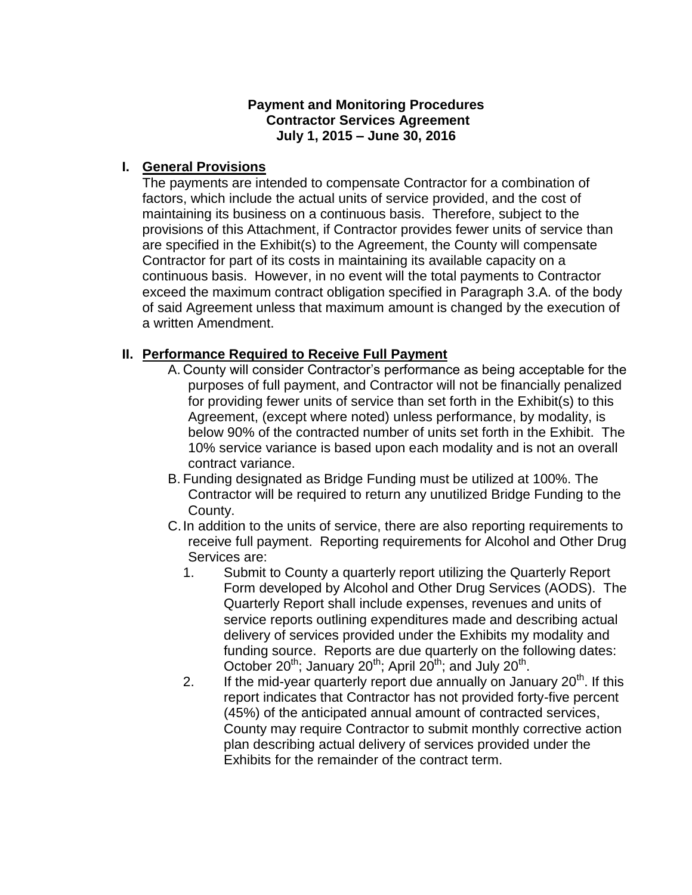#### **Payment and Monitoring Procedures Contractor Services Agreement July 1, 2015 – June 30, 2016**

#### **I. General Provisions**

The payments are intended to compensate Contractor for a combination of factors, which include the actual units of service provided, and the cost of maintaining its business on a continuous basis. Therefore, subject to the provisions of this Attachment, if Contractor provides fewer units of service than are specified in the Exhibit(s) to the Agreement, the County will compensate Contractor for part of its costs in maintaining its available capacity on a continuous basis. However, in no event will the total payments to Contractor exceed the maximum contract obligation specified in Paragraph 3.A. of the body of said Agreement unless that maximum amount is changed by the execution of a written Amendment.

#### **II. Performance Required to Receive Full Payment**

- A. County will consider Contractor's performance as being acceptable for the purposes of full payment, and Contractor will not be financially penalized for providing fewer units of service than set forth in the Exhibit(s) to this Agreement, (except where noted) unless performance, by modality, is below 90% of the contracted number of units set forth in the Exhibit. The 10% service variance is based upon each modality and is not an overall contract variance.
- B. Funding designated as Bridge Funding must be utilized at 100%. The Contractor will be required to return any unutilized Bridge Funding to the County.
- C.In addition to the units of service, there are also reporting requirements to receive full payment. Reporting requirements for Alcohol and Other Drug Services are:
	- 1. Submit to County a quarterly report utilizing the Quarterly Report Form developed by Alcohol and Other Drug Services (AODS). The Quarterly Report shall include expenses, revenues and units of service reports outlining expenditures made and describing actual delivery of services provided under the Exhibits my modality and funding source. Reports are due quarterly on the following dates: October 20<sup>th</sup>; January 20<sup>th</sup>; April 20<sup>th</sup>; and July 20<sup>th</sup>.
	- 2. If the mid-year quarterly report due annually on January  $20<sup>th</sup>$ . If this report indicates that Contractor has not provided forty-five percent (45%) of the anticipated annual amount of contracted services, County may require Contractor to submit monthly corrective action plan describing actual delivery of services provided under the Exhibits for the remainder of the contract term.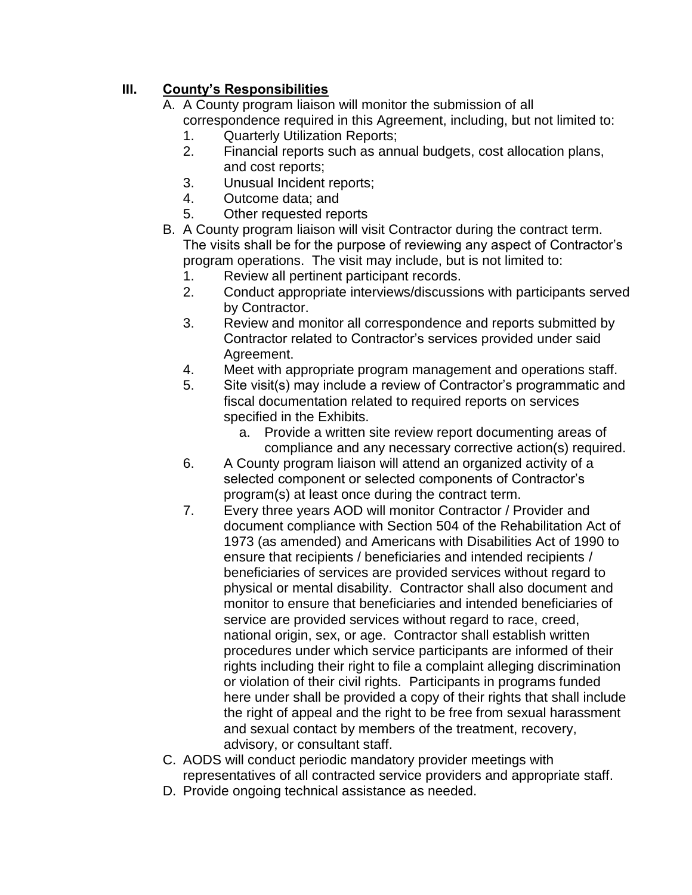# **III. County's Responsibilities**

- A. A County program liaison will monitor the submission of all correspondence required in this Agreement, including, but not limited to:
	- 1. Quarterly Utilization Reports;
	- 2. Financial reports such as annual budgets, cost allocation plans, and cost reports;
	- 3. Unusual Incident reports;
	- 4. Outcome data; and
	- 5. Other requested reports
- B. A County program liaison will visit Contractor during the contract term. The visits shall be for the purpose of reviewing any aspect of Contractor's program operations. The visit may include, but is not limited to:
	- 1. Review all pertinent participant records.
	- 2. Conduct appropriate interviews/discussions with participants served by Contractor.
	- 3. Review and monitor all correspondence and reports submitted by Contractor related to Contractor's services provided under said Agreement.
	- 4. Meet with appropriate program management and operations staff.
	- 5. Site visit(s) may include a review of Contractor's programmatic and fiscal documentation related to required reports on services specified in the Exhibits.
		- a. Provide a written site review report documenting areas of compliance and any necessary corrective action(s) required.
	- 6. A County program liaison will attend an organized activity of a selected component or selected components of Contractor's program(s) at least once during the contract term.
	- 7. Every three years AOD will monitor Contractor / Provider and document compliance with Section 504 of the Rehabilitation Act of 1973 (as amended) and Americans with Disabilities Act of 1990 to ensure that recipients / beneficiaries and intended recipients / beneficiaries of services are provided services without regard to physical or mental disability. Contractor shall also document and monitor to ensure that beneficiaries and intended beneficiaries of service are provided services without regard to race, creed, national origin, sex, or age. Contractor shall establish written procedures under which service participants are informed of their rights including their right to file a complaint alleging discrimination or violation of their civil rights. Participants in programs funded here under shall be provided a copy of their rights that shall include the right of appeal and the right to be free from sexual harassment and sexual contact by members of the treatment, recovery, advisory, or consultant staff.
- C. AODS will conduct periodic mandatory provider meetings with representatives of all contracted service providers and appropriate staff.
- D. Provide ongoing technical assistance as needed.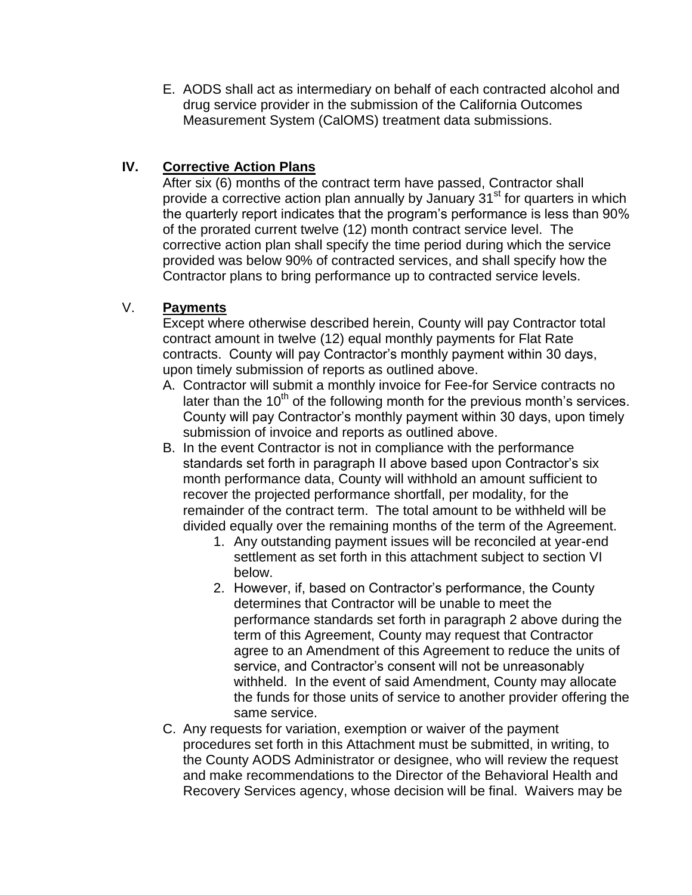E. AODS shall act as intermediary on behalf of each contracted alcohol and drug service provider in the submission of the California Outcomes Measurement System (CalOMS) treatment data submissions.

## **IV. Corrective Action Plans**

After six (6) months of the contract term have passed, Contractor shall provide a corrective action plan annually by January  $31<sup>st</sup>$  for quarters in which the quarterly report indicates that the program's performance is less than 90% of the prorated current twelve (12) month contract service level. The corrective action plan shall specify the time period during which the service provided was below 90% of contracted services, and shall specify how the Contractor plans to bring performance up to contracted service levels.

## V. **Payments**

Except where otherwise described herein, County will pay Contractor total contract amount in twelve (12) equal monthly payments for Flat Rate contracts. County will pay Contractor's monthly payment within 30 days, upon timely submission of reports as outlined above.

- A. Contractor will submit a monthly invoice for Fee-for Service contracts no later than the 10<sup>th</sup> of the following month for the previous month's services. County will pay Contractor's monthly payment within 30 days, upon timely submission of invoice and reports as outlined above.
- B. In the event Contractor is not in compliance with the performance standards set forth in paragraph II above based upon Contractor's six month performance data, County will withhold an amount sufficient to recover the projected performance shortfall, per modality, for the remainder of the contract term. The total amount to be withheld will be divided equally over the remaining months of the term of the Agreement.
	- 1. Any outstanding payment issues will be reconciled at year-end settlement as set forth in this attachment subject to section VI below.
	- 2. However, if, based on Contractor's performance, the County determines that Contractor will be unable to meet the performance standards set forth in paragraph 2 above during the term of this Agreement, County may request that Contractor agree to an Amendment of this Agreement to reduce the units of service, and Contractor's consent will not be unreasonably withheld. In the event of said Amendment, County may allocate the funds for those units of service to another provider offering the same service.
- C. Any requests for variation, exemption or waiver of the payment procedures set forth in this Attachment must be submitted, in writing, to the County AODS Administrator or designee, who will review the request and make recommendations to the Director of the Behavioral Health and Recovery Services agency, whose decision will be final. Waivers may be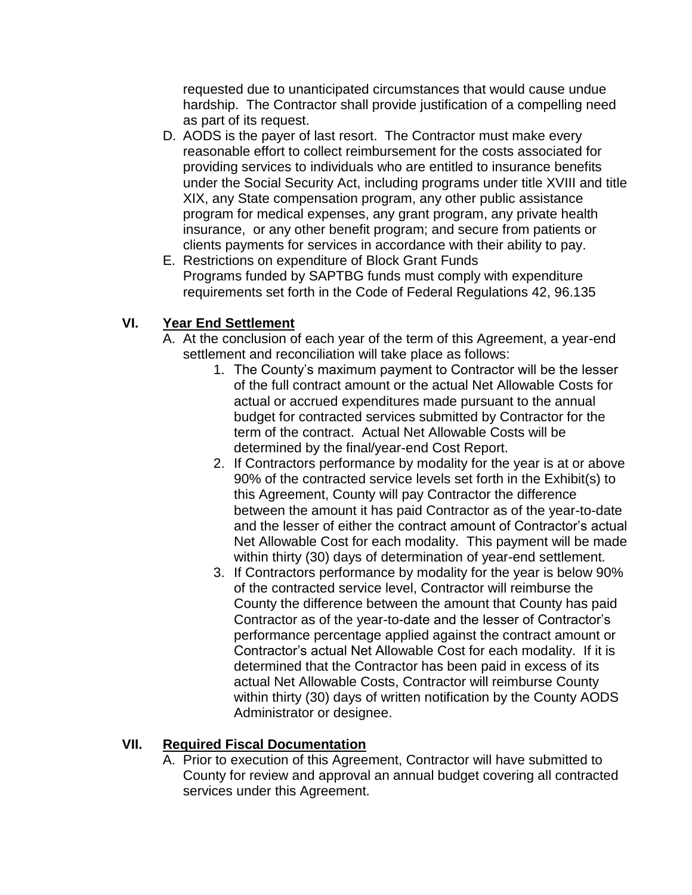requested due to unanticipated circumstances that would cause undue hardship. The Contractor shall provide justification of a compelling need as part of its request.

- D. AODS is the payer of last resort. The Contractor must make every reasonable effort to collect reimbursement for the costs associated for providing services to individuals who are entitled to insurance benefits under the Social Security Act, including programs under title XVIII and title XIX, any State compensation program, any other public assistance program for medical expenses, any grant program, any private health insurance, or any other benefit program; and secure from patients or clients payments for services in accordance with their ability to pay.
- E. Restrictions on expenditure of Block Grant Funds Programs funded by SAPTBG funds must comply with expenditure requirements set forth in the Code of Federal Regulations 42, 96.135

## **VI. Year End Settlement**

- A. At the conclusion of each year of the term of this Agreement, a year-end settlement and reconciliation will take place as follows:
	- 1. The County's maximum payment to Contractor will be the lesser of the full contract amount or the actual Net Allowable Costs for actual or accrued expenditures made pursuant to the annual budget for contracted services submitted by Contractor for the term of the contract. Actual Net Allowable Costs will be determined by the final/year-end Cost Report.
	- 2. If Contractors performance by modality for the year is at or above 90% of the contracted service levels set forth in the Exhibit(s) to this Agreement, County will pay Contractor the difference between the amount it has paid Contractor as of the year-to-date and the lesser of either the contract amount of Contractor's actual Net Allowable Cost for each modality. This payment will be made within thirty (30) days of determination of year-end settlement.
	- 3. If Contractors performance by modality for the year is below 90% of the contracted service level, Contractor will reimburse the County the difference between the amount that County has paid Contractor as of the year-to-date and the lesser of Contractor's performance percentage applied against the contract amount or Contractor's actual Net Allowable Cost for each modality. If it is determined that the Contractor has been paid in excess of its actual Net Allowable Costs, Contractor will reimburse County within thirty (30) days of written notification by the County AODS Administrator or designee.

# **VII. Required Fiscal Documentation**

A. Prior to execution of this Agreement, Contractor will have submitted to County for review and approval an annual budget covering all contracted services under this Agreement.